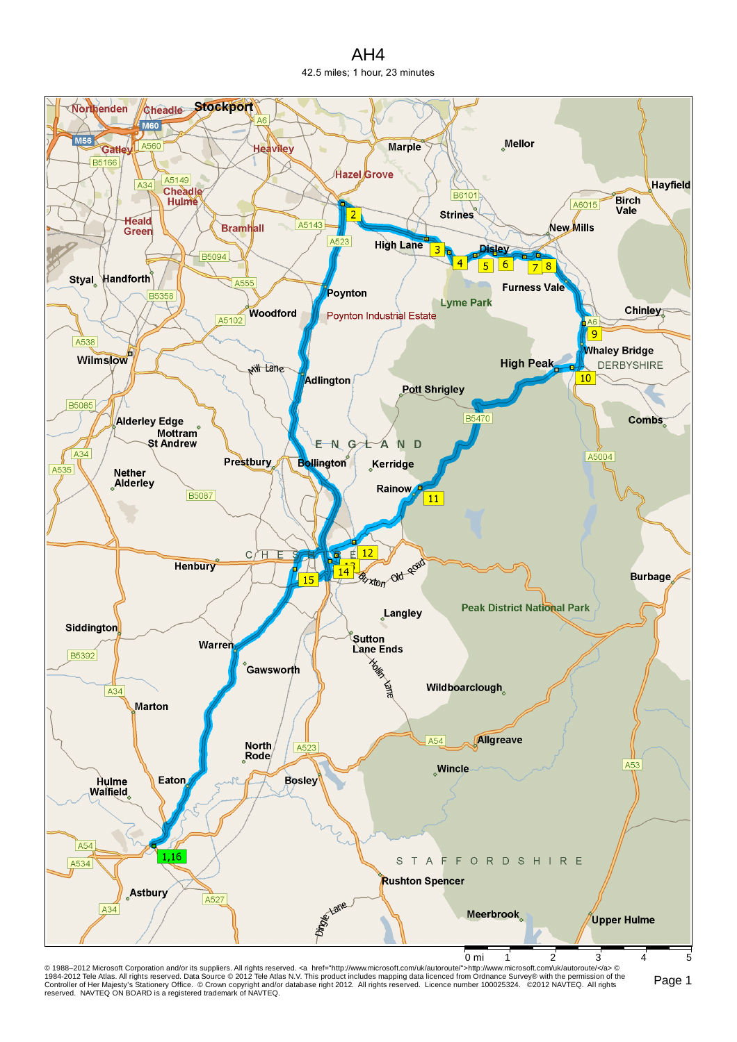AH4 42.5 miles; 1 hour, 23 minutes



© 1988–2012 Microsoft Corporation and/or its suppliers. All rights reserved. ⊲a href="http://www.microsoft.com/uk/autoroute">http://www.microsoft.com/uk/autoroute/⊲a> ©<br>1984-2012 Tele Atlas. All rights reserved. Data Sour reserved. NAVTEQ ON BOARD is a registered trademark of NAVTEQ.

Page 1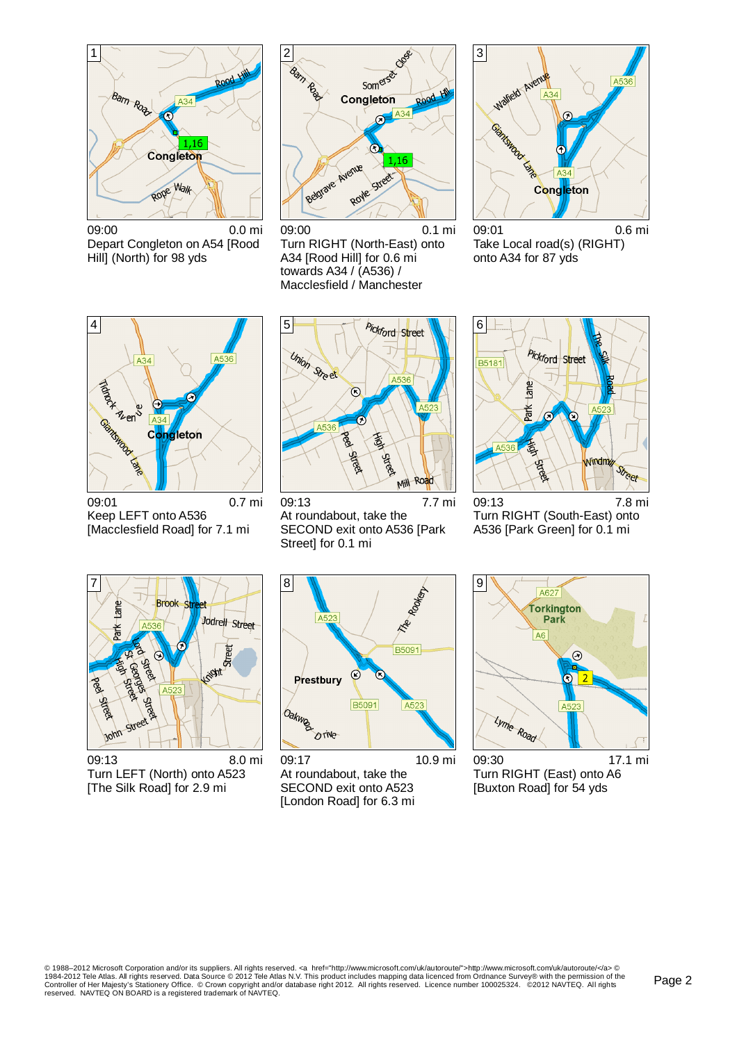

09:00 0.0 mi Depart Congleton on A54 [Rood Hill] (North) for 98 yds



09:00 0.1 mi Turn RIGHT (North-East) onto A34 [Rood Hill] for 0.6 mi towards A34 / (A536) / Macclesfield / Manchester



09:01 0.6 mi Take Local road(s) (RIGHT) onto A34 for 87 yds



09:01 0.7 mi Keep LEFT onto A536 [Macclesfield Road] for 7.1 mi



09:13 7.7 mi At roundabout, take the SECOND exit onto A536 [Park Street] for 0.1 mi



09:13 7.8 mi Turn RIGHT (South-East) onto A536 [Park Green] for 0.1 mi



09:13 8.0 mi Turn LEFT (North) onto A523 [The Silk Road] for 2.9 mi



09:17 10.9 mi At roundabout, take the SECOND exit onto A523 [London Road] for 6.3 mi

9 A627 Torkington Park A<sub>6</sub>  $\odot$  $\bigcirc$  $\overline{2}$  $|A52|$ Lyme Road

09:30 17.1 mi Turn RIGHT (East) onto A6 [Buxton Road] for 54 yds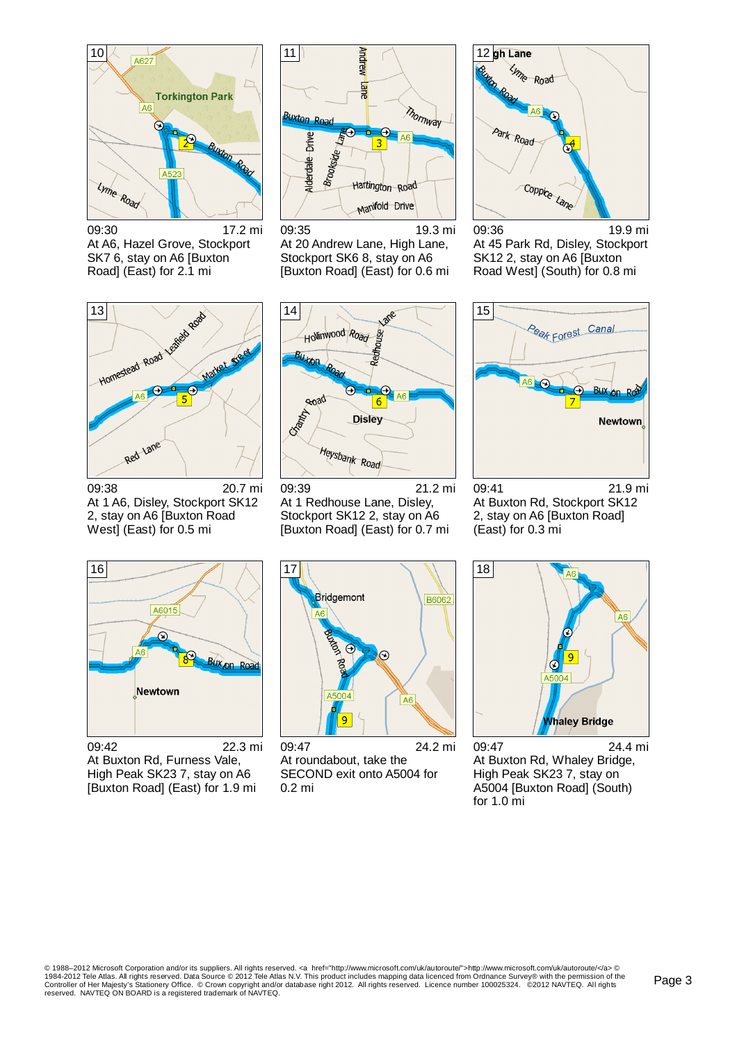

09:30 17.2 mi At A6, Hazel Grove, Stockport SK7 6, stay on A6 [Buxton Road] (East) for 2.1 mi



09:35 19.3 mi At 20 Andrew Lane, High Lane, Stockport SK6 8, stay on A6 [Buxton Road] (East) for 0.6 mi



09:36 19.9 mi At 45 Park Rd, Disley, Stockport SK12 2, stay on A6 [Buxton Road West] (South) for 0.8 mi



09:38 20.7 mi At 1 A6, Disley, Stockport SK12 2, stay on A6 [Buxton Road West] (East) for 0.5 mi



09:39 21.2 mi At 1 Redhouse Lane, Disley, Stockport SK12 2, stay on A6 [Buxton Road] (East) for 0.7 mi



09:41 21.9 mi At Buxton Rd, Stockport SK12 2, stay on A6 [Buxton Road] (East) for 0.3 mi



09:42 22.3 mi At Buxton Rd, Furness Vale, High Peak SK23 7, stay on A6 [Buxton Road] (East) for 1.9 mi



09:47 24.2 mi At roundabout, take the SECOND exit onto A5004 for 0.2 mi



09:47 24.4 mi At Buxton Rd, Whaley Bridge, High Peak SK23 7, stay on A5004 [Buxton Road] (South) for 1.0 mi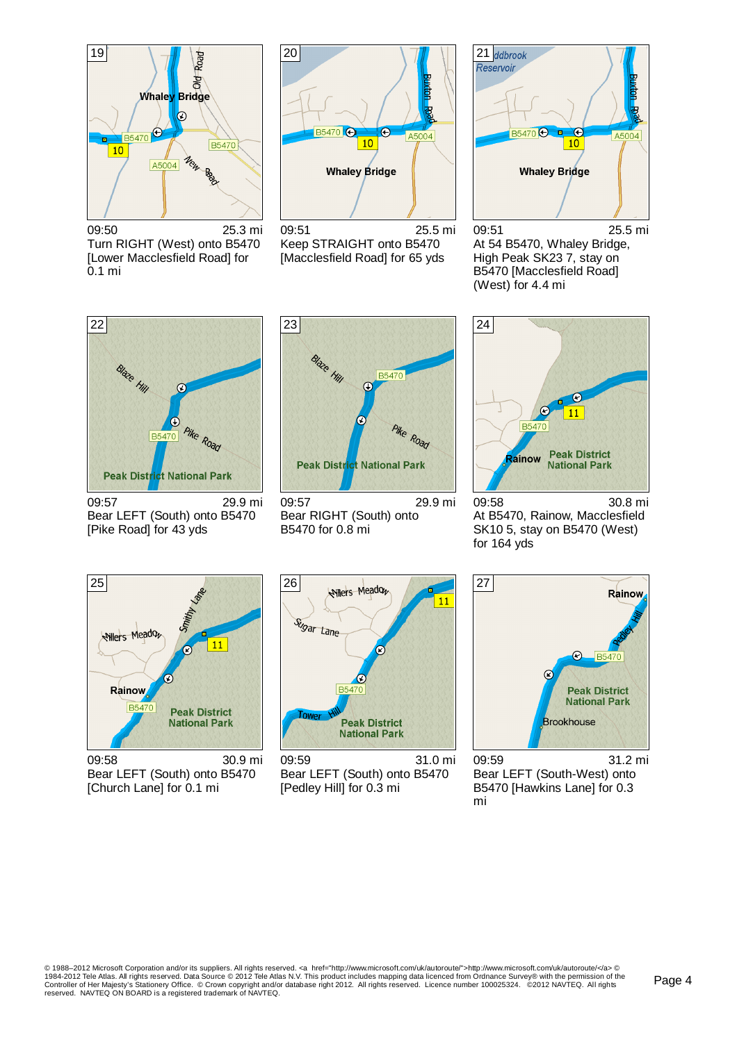

09:50 25.3 mi Turn RIGHT (West) onto B5470 [Lower Macclesfield Road] for 0.1 mi



09:51 25.5 mi Keep STRAIGHT onto B5470 [Macclesfield Road] for 65 yds



09:51 25.5 mi At 54 B5470, Whaley Bridge, High Peak SK23 7, stay on B5470 [Macclesfield Road] (West) for 4.4 mi



09:57 29.9 mi Bear LEFT (South) onto B5470 [Pike Road] for 43 yds



09:57 29.9 mi Bear RIGHT (South) onto B5470 for 0.8 mi



09:58 30.8 mi At B5470, Rainow, Macclesfield SK10 5, stay on B5470 (West) for 164 yds



09:58 30.9 mi Bear LEFT (South) onto B5470 [Church Lane] for 0.1 mi



09:59 31.0 mi Bear LEFT (South) onto B5470 [Pedley Hill] for 0.3 mi



09:59 31.2 mi Bear LEFT (South-West) onto B5470 [Hawkins Lane] for 0.3 mi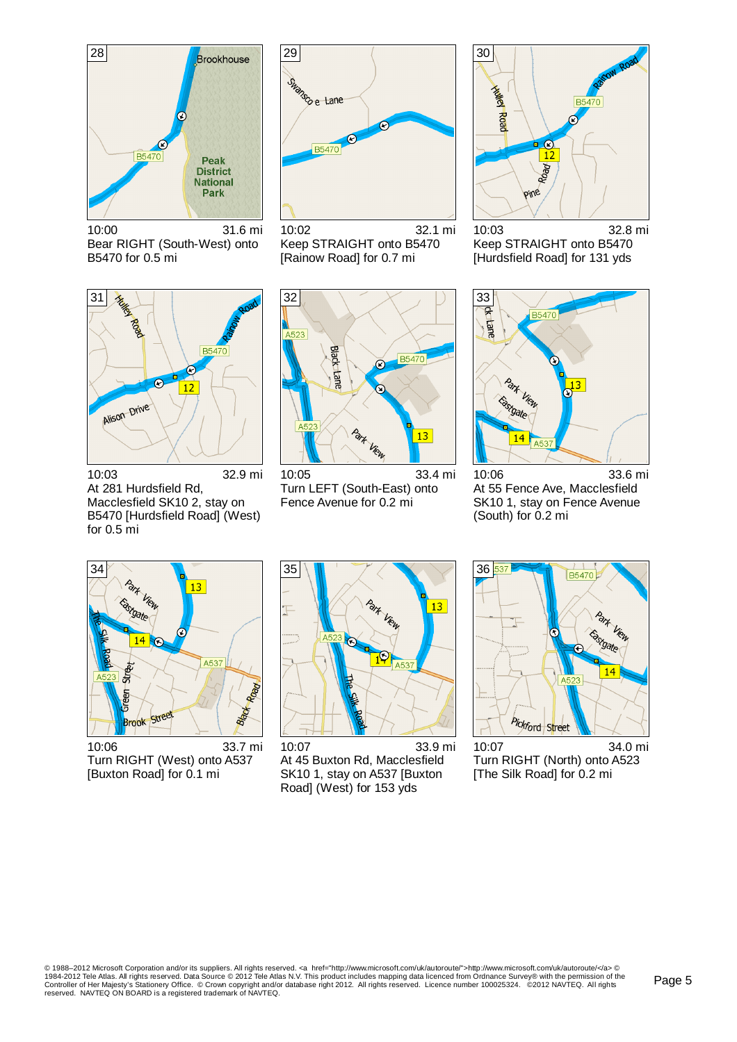

10:00 31.6 mi Bear RIGHT (South-West) onto B5470 for 0.5 mi



Keep STRAIGHT onto B5470 [Rainow Road] for 0.7 mi



10:03 32.8 mi Keep STRAIGHT onto B5470 [Hurdsfield Road] for 131 yds



10:03 32.9 mi At 281 Hurdsfield Rd, Macclesfield SK10 2, stay on B5470 [Hurdsfield Road] (West) for 0.5 mi



10:05 33.4 mi Turn LEFT (South-East) onto Fence Avenue for 0.2 mi



10:06 33.6 mi At 55 Fence Ave, Macclesfield SK10 1, stay on Fence Avenue (South) for 0.2 mi



10:06 33.7 mi Turn RIGHT (West) onto A537 [Buxton Road] for 0.1 mi



10:07 33.9 mi At 45 Buxton Rd, Macclesfield SK10 1, stay on A537 [Buxton Road] (West) for 153 yds



10:07 34.0 mi Turn RIGHT (North) onto A523 [The Silk Road] for 0.2 mi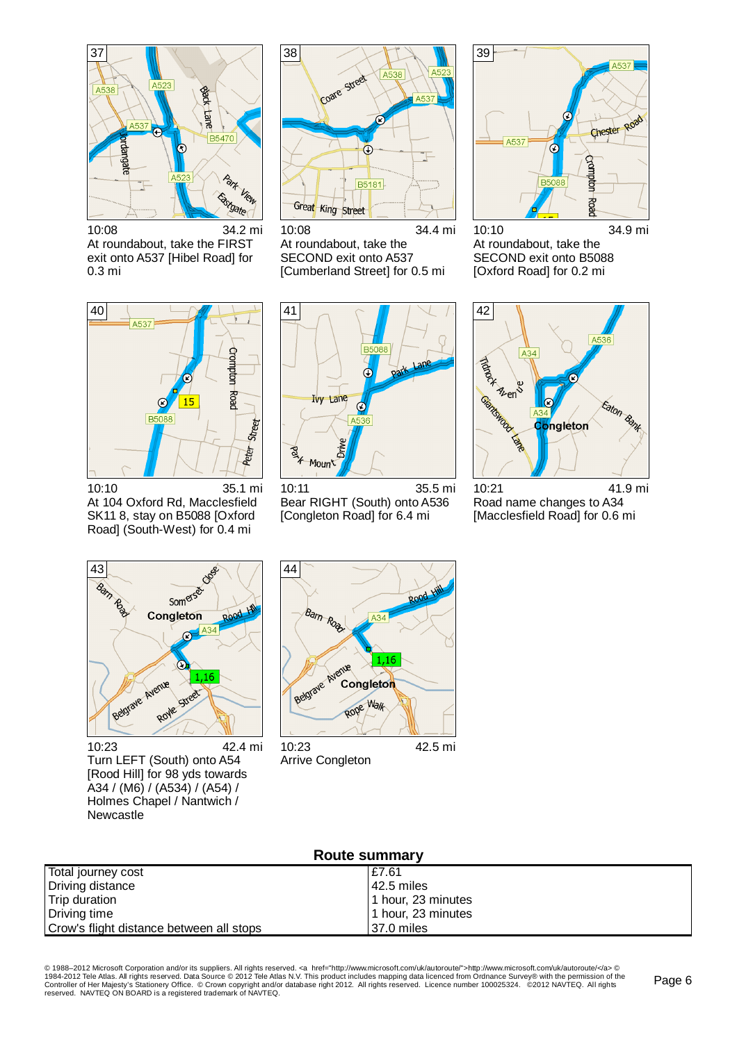

10:08 34.2 mi At roundabout, take the FIRST exit onto A537 [Hibel Road] for 0.3 mi



10:08 34.4 mi At roundabout, take the SECOND exit onto A537 [Cumberland Street] for 0.5 mi



10:10 34.9 mi At roundabout, take the SECOND exit onto B5088 [Oxford Road] for 0.2 mi



10:10 35.1 mi At 104 Oxford Rd, Macclesfield SK11 8, stay on B5088 [Oxford Road] (South-West) for 0.4 mi



10:11 35.5 mi Bear RIGHT (South) onto A536 [Congleton Road] for 6.4 mi



10:21 41.9 mi Road name changes to A34 [Macclesfield Road] for 0.6 mi



10:23 42.4 mi Turn LEFT (South) onto A54 [Rood Hill] for 98 yds towards A34 / (M6) / (A534) / (A54) / Holmes Chapel / Nantwich / Newcastle



Arrive Congleton

| <b>Route summary</b>                     |                    |  |  |
|------------------------------------------|--------------------|--|--|
| Total journey cost                       | £7.61              |  |  |
| Driving distance                         | l 42.5 miles       |  |  |
| Trip duration                            | 1 hour, 23 minutes |  |  |
| Driving time                             | 1 hour, 23 minutes |  |  |
| Crow's flight distance between all stops | 37.0 miles         |  |  |

© 1988–2012 Microsoft Corporation and/or its suppliers. All rights reserved. ⊲a href="http://www.microsoft.com/uk/autoroute">http://www.microsoft.com/uk/autoroute/⊲a> ©<br>1984-2012 Tele Atlas. All rights reserved. Data Sour reserved. NAVTEQ ON BOARD is a registered trademark of NAVTEQ.